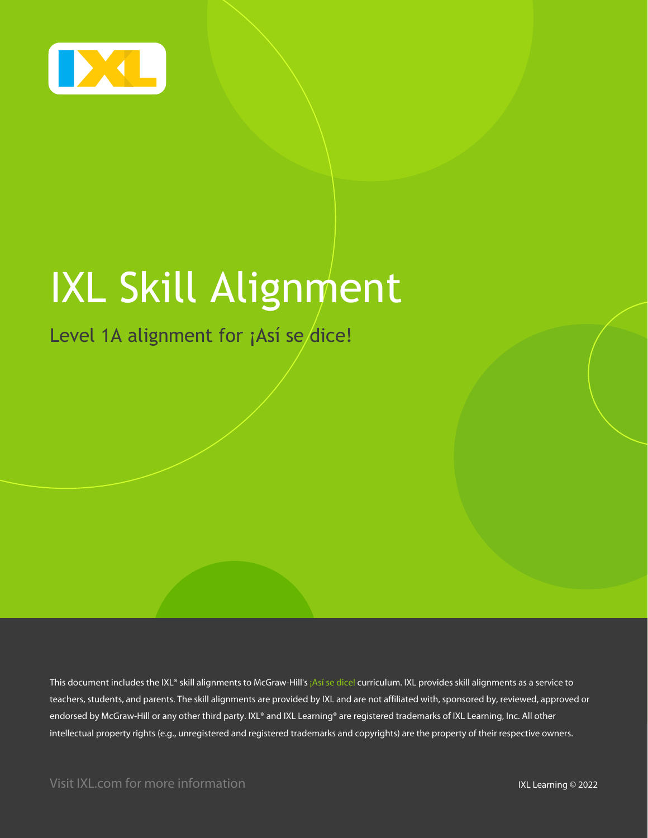

# IXL Skill Alignment

### Level 1A alignment for ¡Así se dice!

This document includes the IXL® skill alignments to McGraw-Hill's ¡Así se dice! curriculum. IXL provides skill alignments as a service to teachers, students, and parents. The skill alignments are provided by IXL and are not affiliated with, sponsored by, reviewed, approved or endorsed by McGraw-Hill or any other third party. IXL® and IXL Learning® are registered trademarks of IXL Learning, Inc. All other intellectual property rights (e.g., unregistered and registered trademarks and copyrights) are the property of their respective owners.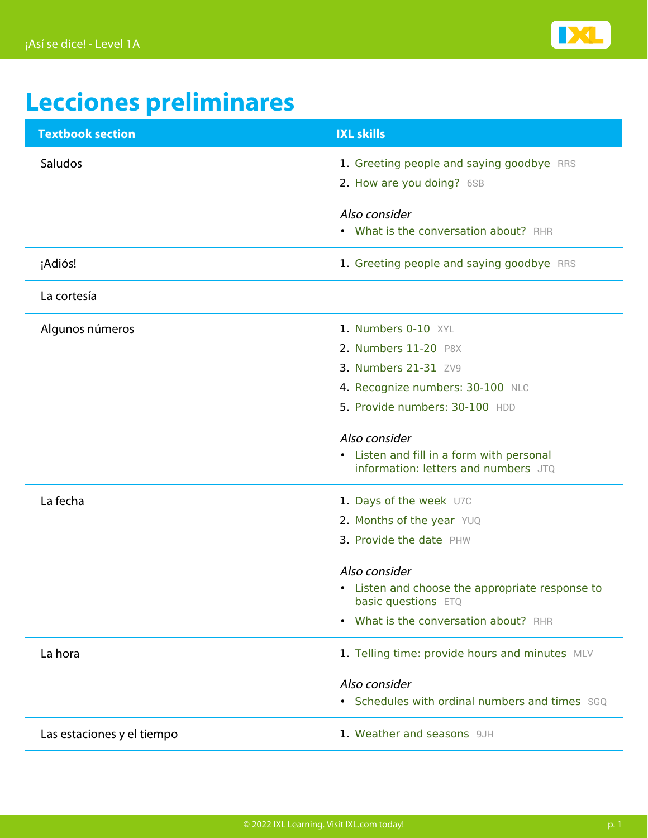

## **Lecciones preliminares**

| <b>Textbook section</b>    | <b>IXL skills</b>                                                                 |
|----------------------------|-----------------------------------------------------------------------------------|
| Saludos                    | 1. Greeting people and saying goodbye RRS                                         |
|                            | 2. How are you doing? 6SB                                                         |
|                            | Also consider                                                                     |
|                            | • What is the conversation about? RHR                                             |
| ¡Adiós!                    | 1. Greeting people and saying goodbye RRS                                         |
| La cortesía                |                                                                                   |
| Algunos números            | 1. Numbers 0-10 XYL                                                               |
|                            | 2. Numbers 11-20 P8X                                                              |
|                            | 3. Numbers 21-31 ZV9                                                              |
|                            | 4. Recognize numbers: 30-100 NLC                                                  |
|                            | 5. Provide numbers: 30-100 HDD                                                    |
|                            | Also consider                                                                     |
|                            | • Listen and fill in a form with personal<br>information: letters and numbers JTQ |
| La fecha                   | 1. Days of the week U7C                                                           |
|                            | 2. Months of the year YUQ                                                         |
|                            | 3. Provide the date PHW                                                           |
|                            | Also consider                                                                     |
|                            | • Listen and choose the appropriate response to<br>basic questions ETQ            |
|                            | What is the conversation about? RHR<br>$\bullet$                                  |
| La hora                    | 1. Telling time: provide hours and minutes MLV                                    |
|                            | Also consider                                                                     |
|                            | • Schedules with ordinal numbers and times SGQ                                    |
| Las estaciones y el tiempo | 1. Weather and seasons 9JH                                                        |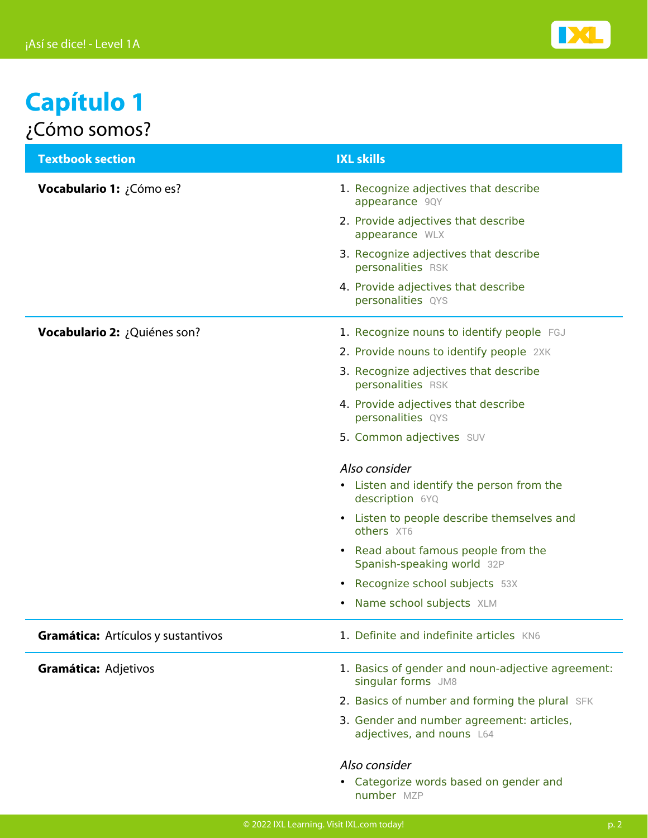

### **Capítulo 1** ¿Cómo somos?

| <b>Textbook section</b>            | <b>IXL skills</b>                                                                              |
|------------------------------------|------------------------------------------------------------------------------------------------|
| <b>Vocabulario 1:</b> ¿Cómo es?    | 1. Recognize adjectives that describe<br>appearance 9QY<br>2. Provide adjectives that describe |
|                                    | appearance WLX                                                                                 |
|                                    | 3. Recognize adjectives that describe<br>personalities RSK                                     |
|                                    | 4. Provide adjectives that describe<br>personalities QYS                                       |
| Vocabulario 2: ¿Quiénes son?       | 1. Recognize nouns to identify people FGJ                                                      |
|                                    | 2. Provide nouns to identify people 2XK                                                        |
|                                    | 3. Recognize adjectives that describe<br>personalities RSK                                     |
|                                    | 4. Provide adjectives that describe<br>personalities QYS                                       |
|                                    | 5. Common adjectives SUV                                                                       |
|                                    | Also consider                                                                                  |
|                                    | • Listen and identify the person from the<br>description 6YQ                                   |
|                                    | • Listen to people describe themselves and<br>others XT6                                       |
|                                    | • Read about famous people from the<br>Spanish-speaking world 32P                              |
|                                    | Recognize school subjects 53X<br>$\bullet$                                                     |
|                                    | Name school subjects XLM                                                                       |
| Gramática: Artículos y sustantivos | 1. Definite and indefinite articles KN6                                                        |
| Gramática: Adjetivos               | 1. Basics of gender and noun-adjective agreement:<br>singular forms JM8                        |
|                                    | 2. Basics of number and forming the plural SFK                                                 |
|                                    | 3. Gender and number agreement: articles,<br>adjectives, and nouns L64                         |
|                                    | Also consider                                                                                  |
|                                    | • Categorize words based on gender and<br>number MZP                                           |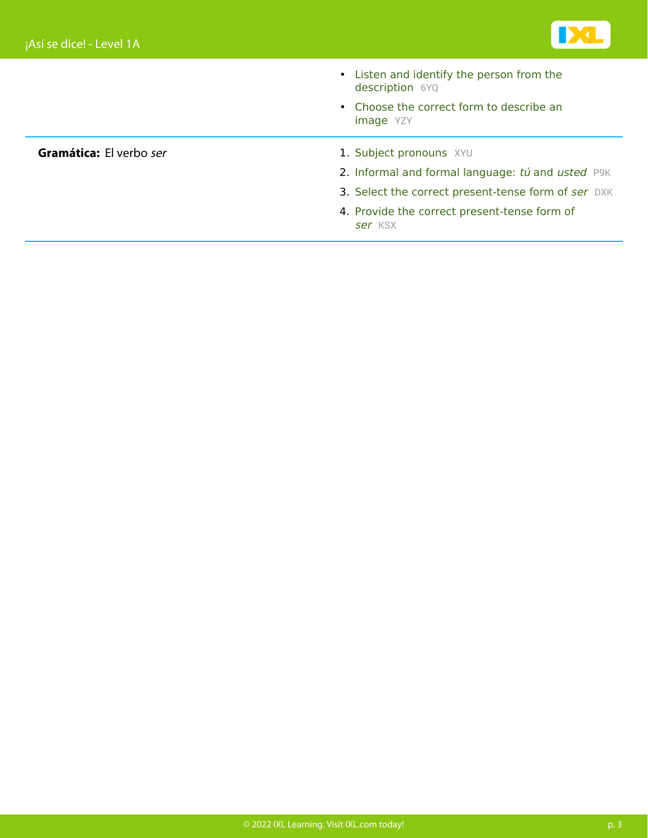

- [Listen and identify the person from the](https://www.ixl.com/spanish/level-1/listen-and-identify-the-person-from-the-description) [description](https://www.ixl.com/spanish/level-1/listen-and-identify-the-person-from-the-description) [6YQ](https://www.ixl.com/spanish/level-1/listen-and-identify-the-person-from-the-description)
- [Choose the correct form to describe an](https://www.ixl.com/spanish/level-1/choose-the-correct-form-to-describe-an-image) [image](https://www.ixl.com/spanish/level-1/choose-the-correct-form-to-describe-an-image) [YZY](https://www.ixl.com/spanish/level-1/choose-the-correct-form-to-describe-an-image)

- **Gramática:** El verbo ser 1. [Subject pronouns](https://www.ixl.com/spanish/level-1/subject-pronouns) [XYU](https://www.ixl.com/spanish/level-1/subject-pronouns)
	- 2. [Informal and formal language:](https://www.ixl.com/spanish/level-1/informal-and-formal-language-tu-and-usted) [tú](https://www.ixl.com/spanish/level-1/informal-and-formal-language-tu-and-usted) [and](https://www.ixl.com/spanish/level-1/informal-and-formal-language-tu-and-usted) [usted](https://www.ixl.com/spanish/level-1/informal-and-formal-language-tu-and-usted) [P9K](https://www.ixl.com/spanish/level-1/informal-and-formal-language-tu-and-usted)
	- 3. Select the correct present-tense form of [ser](https://www.ixl.com/spanish/level-1/select-the-correct-present-tense-form-of-ser) [DXK](https://www.ixl.com/spanish/level-1/select-the-correct-present-tense-form-of-ser)
	- 4. Provide the correct present-tense form of [ser](https://www.ixl.com/spanish/level-1/provide-the-correct-present-tense-form-of-ser) [KSX](https://www.ixl.com/spanish/level-1/provide-the-correct-present-tense-form-of-ser)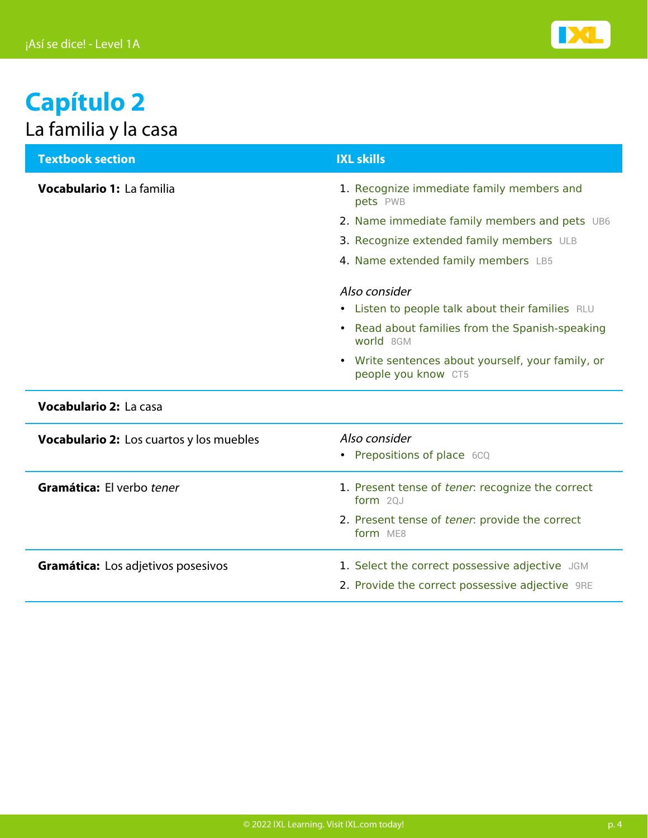

### **Capítulo 2** La familia y la casa

| <b>Textbook section</b>                  | <b>IXL skills</b>                                                        |
|------------------------------------------|--------------------------------------------------------------------------|
| Vocabulario 1: La familia                | 1. Recognize immediate family members and<br>pets PWB                    |
|                                          | 2. Name immediate family members and pets UB6                            |
|                                          | 3. Recognize extended family members ULB                                 |
|                                          | 4. Name extended family members LB5                                      |
|                                          | Also consider                                                            |
|                                          | • Listen to people talk about their families RLU                         |
|                                          | • Read about families from the Spanish-speaking<br>world 8GM             |
|                                          | • Write sentences about yourself, your family, or<br>people you know CT5 |
| <b>Vocabulario 2: La casa</b>            |                                                                          |
| Vocabulario 2: Los cuartos y los muebles | Also consider                                                            |
|                                          | • Prepositions of place 6CQ                                              |
| Gramática: El verbo tener                | 1. Present tense of tener: recognize the correct<br>form $20J$           |
|                                          | 2. Present tense of tener: provide the correct<br>form ME8               |
| Gramática: Los adjetivos posesivos       | 1. Select the correct possessive adjective JGM                           |
|                                          | 2. Provide the correct possessive adjective 9RE                          |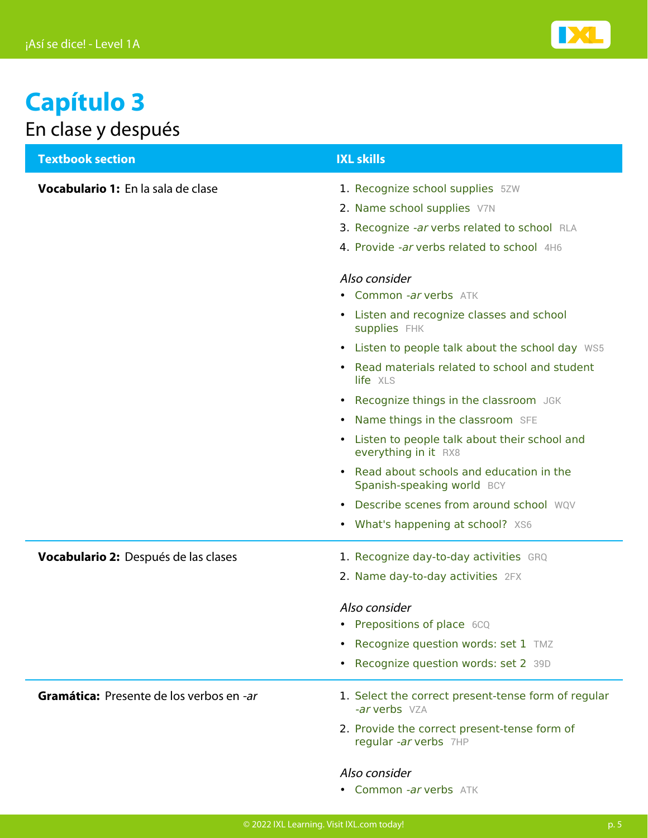

### **Capítulo 3** En clase y después

| <b>Textbook section</b>                  | <b>IXL skills</b>                                                      |
|------------------------------------------|------------------------------------------------------------------------|
| Vocabulario 1: En la sala de clase       | 1. Recognize school supplies 5ZW                                       |
|                                          | 2. Name school supplies V7N                                            |
|                                          | 3. Recognize -ar verbs related to school RLA                           |
|                                          | 4. Provide -ar verbs related to school 4H6                             |
|                                          | Also consider                                                          |
|                                          | • Common -ar verbs ATK                                                 |
|                                          | • Listen and recognize classes and school<br><b>supplies</b> FHK       |
|                                          | • Listen to people talk about the school day WS5                       |
|                                          | Read materials related to school and student<br>life XLS               |
|                                          | • Recognize things in the classroom JGK                                |
|                                          | • Name things in the classroom SFE                                     |
|                                          | • Listen to people talk about their school and<br>everything in it RX8 |
|                                          | Read about schools and education in the<br>Spanish-speaking world BCY  |
|                                          | • Describe scenes from around school WOV                               |
|                                          | • What's happening at school? XS6                                      |
| Vocabulario 2: Después de las clases     | 1. Recognize day-to-day activities GRQ                                 |
|                                          | 2. Name day-to-day activities 2FX                                      |
|                                          | Also consider                                                          |
|                                          | • Prepositions of place 6CQ                                            |
|                                          | • Recognize question words: set 1 TMZ                                  |
|                                          | • Recognize question words: set 2 39D                                  |
| Gramática: Presente de los verbos en -ar | 1. Select the correct present-tense form of regular<br>-ar verbs VZA   |
|                                          | 2. Provide the correct present-tense form of<br>regular -ar verbs 7HP  |
|                                          | Also consider                                                          |

• [Common](https://www.ixl.com/spanish/level-1/common-ar-verbs) -ar [verbs](https://www.ixl.com/spanish/level-1/common-ar-verbs) [ATK](https://www.ixl.com/spanish/level-1/common-ar-verbs)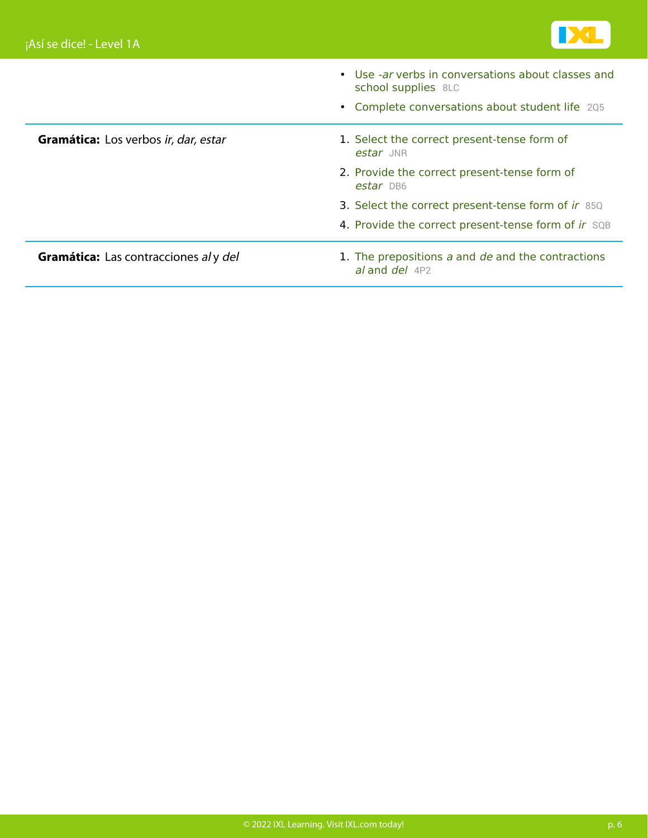

|                                       | • Use -ar verbs in conversations about classes and<br>school supplies 8LC |
|---------------------------------------|---------------------------------------------------------------------------|
|                                       | • Complete conversations about student life 205                           |
| Gramática: Los verbos ir, dar, estar  | 1. Select the correct present-tense form of<br>estar JNR                  |
|                                       | 2. Provide the correct present-tense form of<br>estar DB6                 |
|                                       | 3. Select the correct present-tense form of ir 85Q                        |
|                                       | 4. Provide the correct present-tense form of ir SQB                       |
| Gramática: Las contracciones al y del | 1. The prepositions a and de and the contractions<br>al and $del$ 4P2     |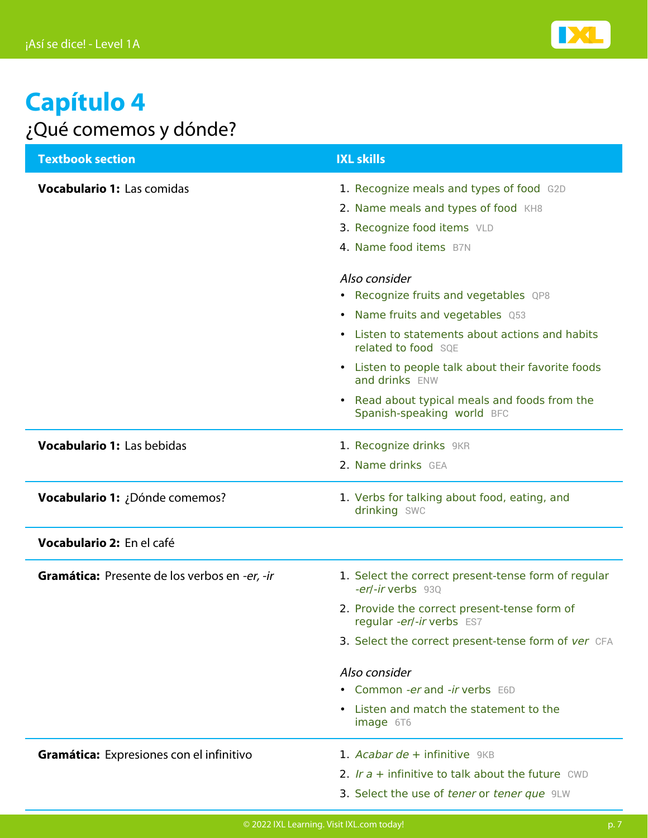

### **Capítulo 4** ¿Qué comemos y dónde?

| <b>Textbook section</b>                       | <b>IXL skills</b>                                                                                                                                                          |
|-----------------------------------------------|----------------------------------------------------------------------------------------------------------------------------------------------------------------------------|
| Vocabulario 1: Las comidas                    | 1. Recognize meals and types of food G2D<br>2. Name meals and types of food KH8<br>3. Recognize food items VLD<br>4. Name food items B7N                                   |
|                                               | Also consider<br>• Recognize fruits and vegetables QP8<br>• Name fruits and vegetables Q53<br>• Listen to statements about actions and habits                              |
|                                               | related to food SQE<br>• Listen to people talk about their favorite foods<br>and drinks ENW<br>• Read about typical meals and foods from the<br>Spanish-speaking world BFC |
| Vocabulario 1: Las bebidas                    | 1. Recognize drinks 9KR<br>2. Name drinks GEA                                                                                                                              |
| Vocabulario 1: ¿Dónde comemos?                | 1. Verbs for talking about food, eating, and<br>drinking SWC                                                                                                               |
| Vocabulario 2: En el café                     |                                                                                                                                                                            |
| Gramática: Presente de los verbos en -er, -ir | 1. Select the correct present-tense form of regular<br>-er/-ir verbs 930<br>2. Provide the correct present-tense form of<br>regular -er/-ir verbs ES7                      |
|                                               | 3. Select the correct present-tense form of ver CFA                                                                                                                        |
|                                               | Also consider<br>• Common -er and -ir verbs E6D<br>• Listen and match the statement to the                                                                                 |
|                                               | image 6T6                                                                                                                                                                  |
| Gramática: Expresiones con el infinitivo      | 1. Acabar de + infinitive $9KB$<br>2. Ir $a$ + infinitive to talk about the future CWD<br>3. Select the use of tener or tener que 9LW                                      |